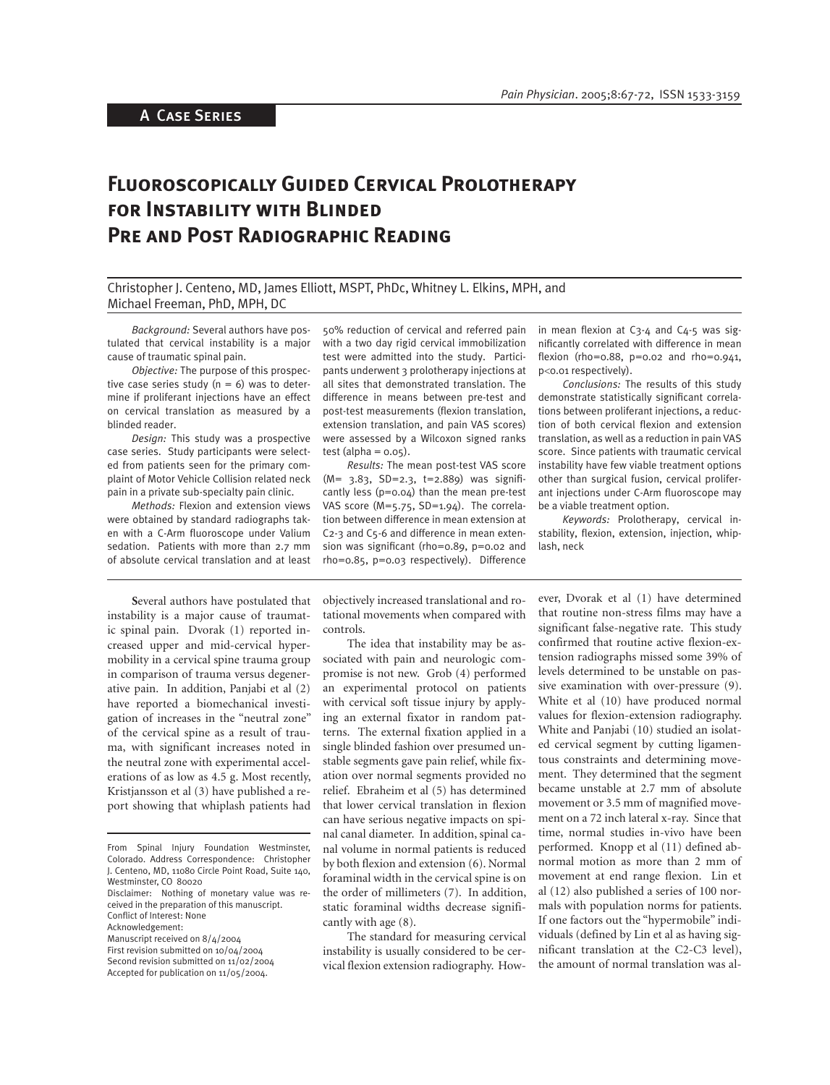# A Case Series

# **Fluoroscopically Guided Cervical Prolotherapy for Instability with Blinded Pre and Post Radiographic Reading**

Christopher J. Centeno, MD, James Elliott, MSPT, PhDc, Whitney L. Elkins, MPH, and Michael Freeman, PhD, MPH, DC

*Background:* Several authors have postulated that cervical instability is a major cause of traumatic spinal pain.

*Objective:* The purpose of this prospective case series study  $(n = 6)$  was to determine if proliferant injections have an effect on cervical translation as measured by a blinded reader.

*Design:* This study was a prospective case series. Study participants were selected from patients seen for the primary complaint of Motor Vehicle Collision related neck pain in a private sub-specialty pain clinic.

*Methods:* Flexion and extension views were obtained by standard radiographs taken with a C-Arm fluoroscope under Valium sedation. Patients with more than 2.7 mm of absolute cervical translation and at least

50% reduction of cervical and referred pain with a two day rigid cervical immobilization test were admitted into the study. Participants underwent 3 prolotherapy injections at all sites that demonstrated translation. The difference in means between pre-test and post-test measurements (flexion translation, extension translation, and pain VAS scores) were assessed by a Wilcoxon signed ranks test (alpha =  $0.05$ ).

*Results:* The mean post-test VAS score (M= 3.83, SD=2.3, t=2.889) was signifi cantly less (p=0.04) than the mean pre-test VAS score (M=5.75, SD=1.94). The correlation between difference in mean extension at C2-3 and C5-6 and difference in mean extension was significant (rho=0.89,  $p=0.02$  and rho=0.85, p=0.03 respectively). Difference

in mean flexion at  $C_3$ -4 and  $C_4$ -5 was significantly correlated with difference in mean flexion (rho=0.88,  $p=0.02$  and rho=0.941, p<0.01 respectively).

*Conclusions:* The results of this study demonstrate statistically significant correlations between proliferant injections, a reduction of both cervical flexion and extension translation, as well as a reduction in pain VAS score. Since patients with traumatic cervical instability have few viable treatment options other than surgical fusion, cervical proliferant injections under C-Arm fluoroscope may be a viable treatment option.

*Keywords:* Prolotherapy, cervical instability, flexion, extension, injection, whiplash, neck

**S**everal authors have postulated that instability is a major cause of traumatic spinal pain. Dvorak (1) reported increased upper and mid-cervical hypermobility in a cervical spine trauma group in comparison of trauma versus degenerative pain. In addition, Panjabi et al (2) have reported a biomechanical investigation of increases in the "neutral zone" of the cervical spine as a result of trauma, with significant increases noted in the neutral zone with experimental accelerations of as low as 4.5 g. Most recently, Kristjansson et al (3) have published a report showing that whiplash patients had

Accepted for publication on 11/05/2004.

objectively increased translational and rotational movements when compared with controls.

The idea that instability may be associated with pain and neurologic compromise is not new. Grob (4) performed an experimental protocol on patients with cervical soft tissue injury by applying an external fixator in random patterns. The external fixation applied in a single blinded fashion over presumed unstable segments gave pain relief, while fixation over normal segments provided no relief. Ebraheim et al (5) has determined that lower cervical translation in flexion can have serious negative impacts on spinal canal diameter. In addition, spinal canal volume in normal patients is reduced by both flexion and extension (6). Normal foraminal width in the cervical spine is on the order of millimeters (7). In addition, static foraminal widths decrease significantly with age (8).

The standard for measuring cervical instability is usually considered to be cervical flexion extension radiography. How-

ever, Dvorak et al (1) have determined that routine non-stress films may have a significant false-negative rate. This study confirmed that routine active flexion-extension radiographs missed some 39% of levels determined to be unstable on passive examination with over-pressure (9). White et al (10) have produced normal values for flexion-extension radiography. White and Panjabi (10) studied an isolated cervical segment by cutting ligamentous constraints and determining movement. They determined that the segment became unstable at 2.7 mm of absolute movement or 3.5 mm of magnified movement on a 72 inch lateral x-ray. Since that time, normal studies in-vivo have been performed. Knopp et al (11) defined abnormal motion as more than 2 mm of movement at end range flexion. Lin et al (12) also published a series of 100 normals with population norms for patients. If one factors out the "hypermobile" individuals (defined by Lin et al as having significant translation at the C2-C3 level), the amount of normal translation was al-

From Spinal Injury Foundation Westminster, Colorado. Address Correspondence: Christopher J. Centeno, MD, 11080 Circle Point Road, Suite 140, Westminster, CO 80020

Disclaimer: Nothing of monetary value was received in the preparation of this manuscript. Conflict of Interest: None

Acknowledgement:

Manuscript received on 8/4/2004

First revision submitted on 10/04/2004 Second revision submitted on 11/02/2004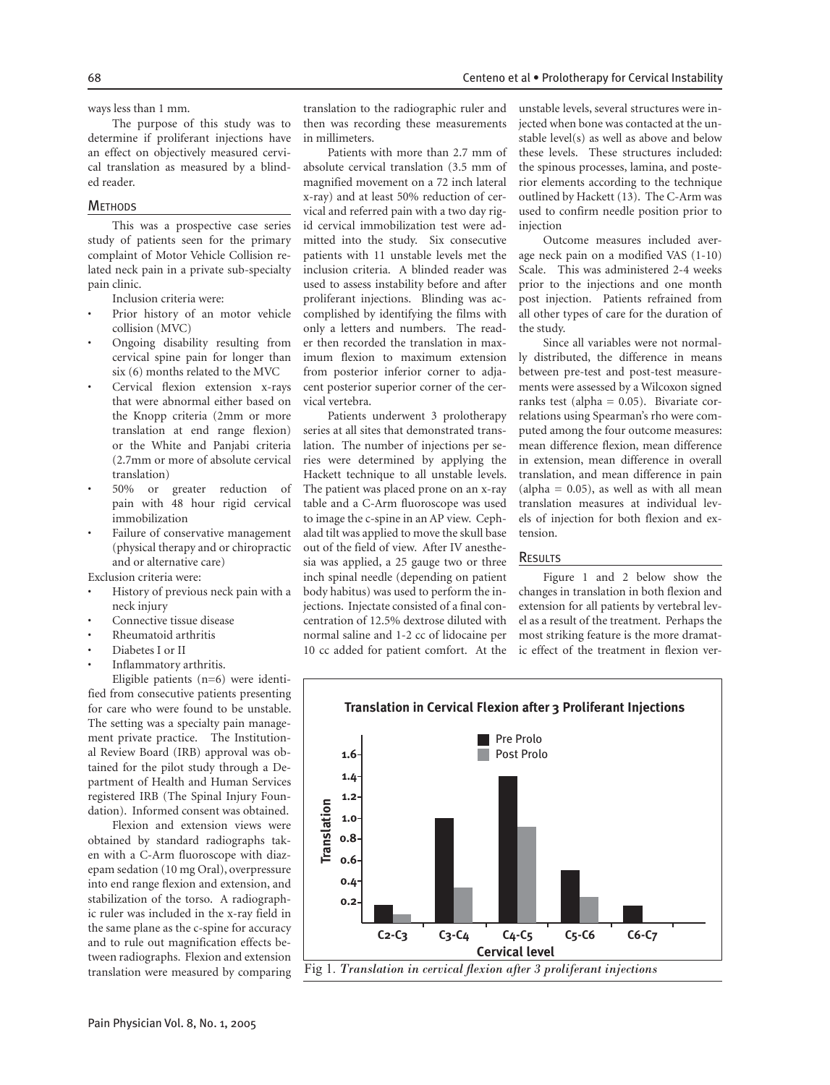ways less than 1 mm.

The purpose of this study was to determine if proliferant injections have an effect on objectively measured cervical translation as measured by a blinded reader.

#### **METHODS**

This was a prospective case series study of patients seen for the primary complaint of Motor Vehicle Collision related neck pain in a private sub-specialty pain clinic.

Inclusion criteria were:

- Prior history of an motor vehicle collision (MVC)
- Ongoing disability resulting from cervical spine pain for longer than six (6) months related to the MVC
- Cervical flexion extension x-rays that were abnormal either based on the Knopp criteria (2mm or more translation at end range flexion) or the White and Panjabi criteria (2.7mm or more of absolute cervical translation)
- 50% or greater reduction of pain with 48 hour rigid cervical immobilization
- Failure of conservative management (physical therapy and or chiropractic and or alternative care)

Exclusion criteria were:

- History of previous neck pain with a neck injury
- Connective tissue disease
- Rheumatoid arthritis
- Diabetes I or II
- Inflammatory arthritis.

Eligible patients (n=6) were identified from consecutive patients presenting for care who were found to be unstable. The setting was a specialty pain management private practice. The Institutional Review Board (IRB) approval was obtained for the pilot study through a Department of Health and Human Services registered IRB (The Spinal Injury Foundation). Informed consent was obtained.

Flexion and extension views were obtained by standard radiographs taken with a C-Arm fluoroscope with diazepam sedation (10 mg Oral), overpressure into end range flexion and extension, and stabilization of the torso. A radiographic ruler was included in the x-ray field in the same plane as the c-spine for accuracy and to rule out magnification effects between radiographs. Flexion and extension translation were measured by comparing

translation to the radiographic ruler and then was recording these measurements in millimeters.

Patients with more than 2.7 mm of absolute cervical translation (3.5 mm of magnified movement on a 72 inch lateral x-ray) and at least 50% reduction of cervical and referred pain with a two day rigid cervical immobilization test were admitted into the study. Six consecutive patients with 11 unstable levels met the inclusion criteria. A blinded reader was used to assess instability before and after proliferant injections. Blinding was accomplished by identifying the films with only a letters and numbers. The reader then recorded the translation in maximum flexion to maximum extension from posterior inferior corner to adjacent posterior superior corner of the cervical vertebra.

Patients underwent 3 prolotherapy series at all sites that demonstrated translation. The number of injections per series were determined by applying the Hackett technique to all unstable levels. The patient was placed prone on an x-ray table and a C-Arm fluoroscope was used to image the c-spine in an AP view. Cephalad tilt was applied to move the skull base out of the field of view. After IV anesthesia was applied, a 25 gauge two or three inch spinal needle (depending on patient body habitus) was used to perform the injections. Injectate consisted of a final concentration of 12.5% dextrose diluted with normal saline and 1-2 cc of lidocaine per 10 cc added for patient comfort. At the

unstable levels, several structures were injected when bone was contacted at the unstable level(s) as well as above and below these levels. These structures included: the spinous processes, lamina, and posterior elements according to the technique outlined by Hackett (13). The C-Arm was used to confirm needle position prior to injection

Outcome measures included average neck pain on a modified VAS (1-10) Scale. This was administered 2-4 weeks prior to the injections and one month post injection. Patients refrained from all other types of care for the duration of the study.

Since all variables were not normally distributed, the difference in means between pre-test and post-test measurements were assessed by a Wilcoxon signed ranks test (alpha =  $0.05$ ). Bivariate correlations using Spearman's rho were computed among the four outcome measures: mean difference flexion, mean difference in extension, mean difference in overall translation, and mean difference in pain  $\alpha$  (alpha = 0.05), as well as with all mean translation measures at individual levels of injection for both flexion and extension.

#### **RESULTS**

Figure 1 and 2 below show the changes in translation in both flexion and extension for all patients by vertebral level as a result of the treatment. Perhaps the most striking feature is the more dramatic effect of the treatment in flexion ver-

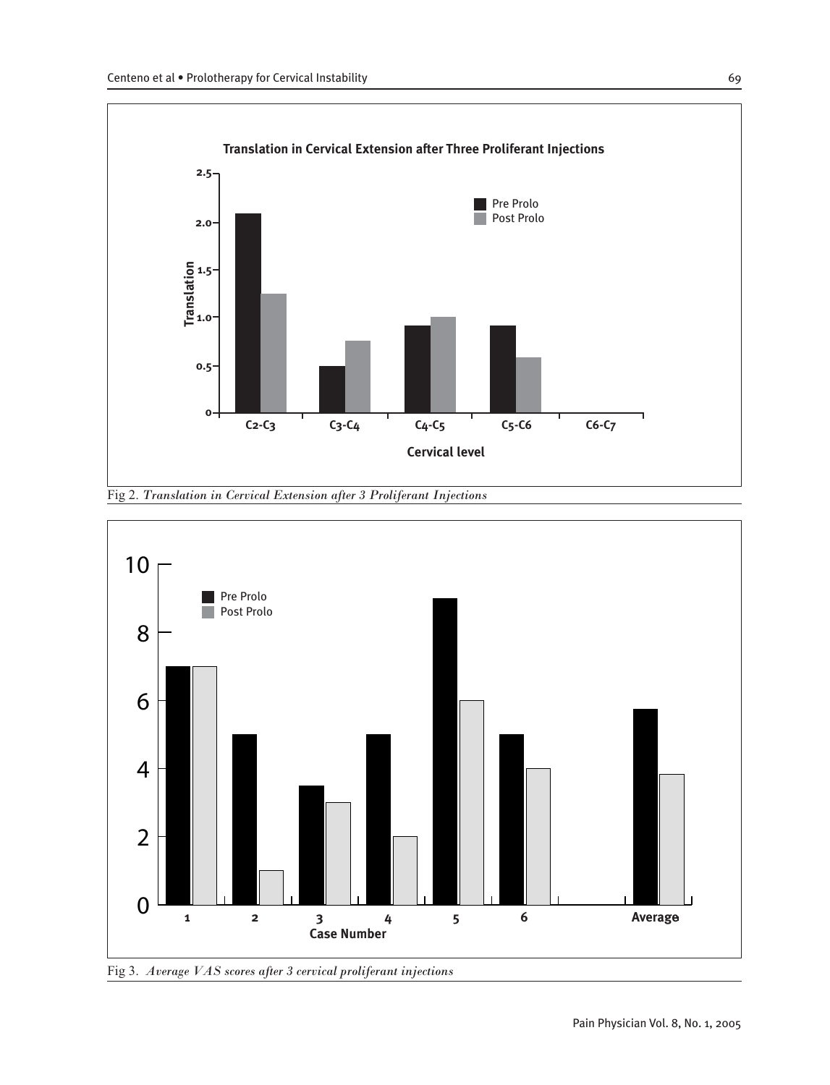



Fig 3. *Average VAS scores after 3 cervical proliferant injections*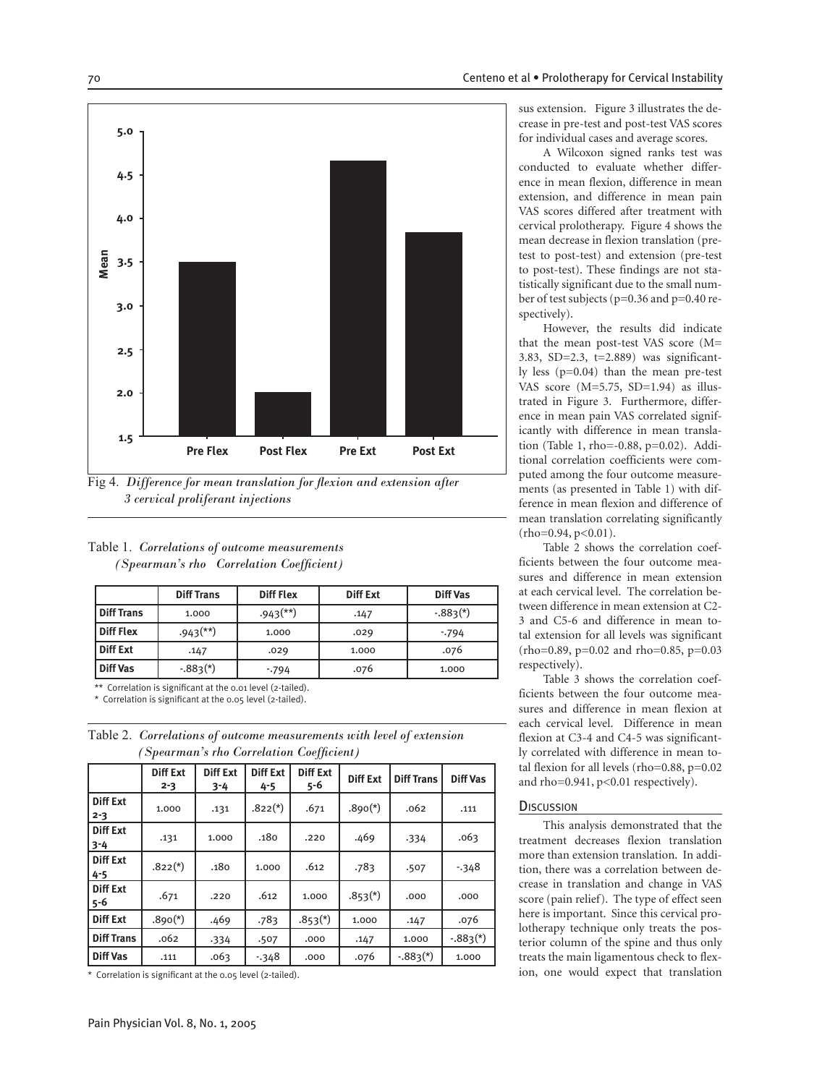

Fig 4. Difference for mean translation for flexion and extension after  *3 cervical proliferant injections*

Pre Flex Post Flex Pre Ext Post Ext

#### Table 1. *Correlations of outcome measurements (Spearman's rho Correlation Coefficient)*

|                   | <b>Diff Trans</b>        | <b>Diff Flex</b>         | <b>Diff Ext</b> | <b>Diff Vas</b> |  |
|-------------------|--------------------------|--------------------------|-----------------|-----------------|--|
| <b>Diff Trans</b> | 1.000                    | $.943$ <sup>(**)</sup> ) | .147            | $-.883(*)$      |  |
| Diff Flex         | $.943$ <sup>(**)</sup> ) | 1.000                    | .029            | $-794$          |  |
| Diff Ext          | .147                     | .029                     | 1.000           | .076            |  |
| <b>Diff Vas</b>   | $-.883(*)$               | $-794$                   | .076            | 1.000           |  |

\*\* Correlation is significant at the 0.01 level (2-tailed).

Correlation is significant at the  $0.05$  level (2-tailed).

| Table 2. Correlations of outcome measurements with level of extension |
|-----------------------------------------------------------------------|
| (Spearman's rho Correlation Coefficient)                              |

|                            | <b>Diff Ext</b><br>$2 - 3$ | Diff Ext<br>$3 - 4$ | <b>Diff Ext</b><br>$4 - 5$ | Diff Ext<br>5-6 | <b>Diff Ext</b> | <b>Diff Trans</b> | <b>Diff Vas</b> |
|----------------------------|----------------------------|---------------------|----------------------------|-----------------|-----------------|-------------------|-----------------|
| <b>Diff Ext</b><br>$2 - 3$ | 1.000                      | .131                | $.822(*)$                  | .671            | $.890(*)$       | .062              | .111            |
| Diff Ext<br>  3-4          | .131                       | 1.000               | .180                       | .220            | .469            | .334              | .063            |
| Diff Ext<br>$4 - 5$        | $.822(*)$                  | .180                | 1.000                      | .612            | .783            | .507              | $-348$          |
| <b>Diff Ext</b><br>5-6     | .671                       | .220                | .612                       | 1.000           | $.853^{(*)}$    | .000              | .000            |
| Diff Ext                   | $.890(*)$                  | .469                | .783                       | $.853(*)$       | 1.000           | .147              | .076            |
| <b>Diff Trans</b>          | .062                       | $-334$              | .507                       | .000            | .147            | 1.000             | $-.883(*)$      |
| <b>Diff Vas</b>            | .111                       | .063                | $-348$                     | .000            | .076            | $-.883(*)$        | 1.000           |

\* Correlation is significant at the 0.05 level (2-tailed).

sus extension. Figure 3 illustrates the decrease in pre-test and post-test VAS scores for individual cases and average scores.

A Wilcoxon signed ranks test was conducted to evaluate whether difference in mean flexion, difference in mean extension, and difference in mean pain VAS scores differed after treatment with cervical prolotherapy. Figure 4 shows the mean decrease in flexion translation (pretest to post-test) and extension (pre-test to post-test). These findings are not statistically significant due to the small number of test subjects (p=0.36 and p=0.40 respectively).

However, the results did indicate that the mean post-test VAS score (M= 3.83, SD=2.3, t=2.889) was significantly less (p=0.04) than the mean pre-test VAS score (M=5.75, SD=1.94) as illustrated in Figure 3. Furthermore, difference in mean pain VAS correlated significantly with difference in mean translation (Table 1, rho=-0.88, p=0.02). Additional correlation coefficients were computed among the four outcome measurements (as presented in Table 1) with difference in mean flexion and difference of mean translation correlating significantly (rho=0.94, p<0.01).

Table 2 shows the correlation coefficients between the four outcome measures and difference in mean extension at each cervical level. The correlation between difference in mean extension at C2- 3 and C5-6 and difference in mean total extension for all levels was significant (rho=0.89, p=0.02 and rho=0.85, p=0.03 respectively).

Table 3 shows the correlation coefficients between the four outcome measures and difference in mean flexion at each cervical level. Difference in mean flexion at C3-4 and C4-5 was significantly correlated with difference in mean total flexion for all levels (rho=0.88, p=0.02 and rho=0.941, p<0.01 respectively).

#### **DISCUSSION**

This analysis demonstrated that the treatment decreases flexion translation more than extension translation. In addition, there was a correlation between decrease in translation and change in VAS score (pain relief). The type of effect seen here is important. Since this cervical prolotherapy technique only treats the posterior column of the spine and thus only treats the main ligamentous check to flexion, one would expect that translation

**5.0**

**4.5**

**4.0**

**3.5**

**Mean**

**3.0**

**2.5**

**2.0**

**1.5**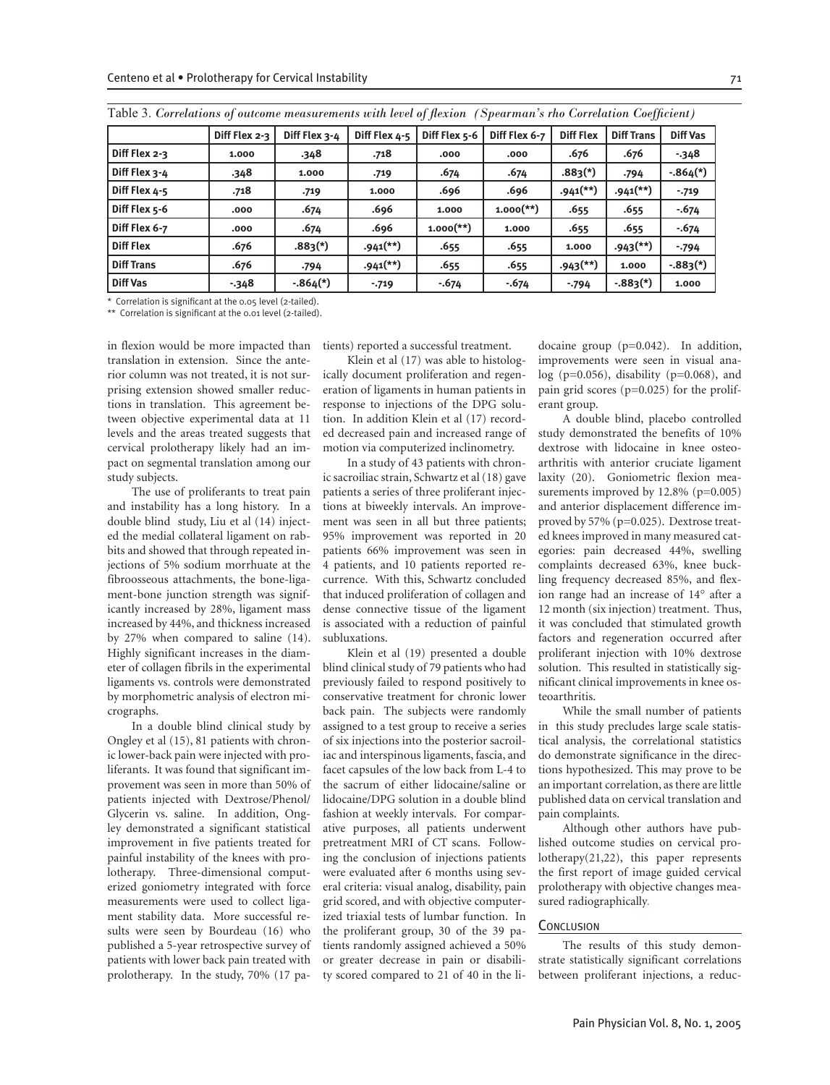| Diff Flex 2-3     | Diff Flex 2-3<br>1.000 | Diff Flex 3-4<br>.348 | Diff Flex 4-5<br>.718    | Diff Flex 5-6           | Diff Flex 6-7           | <b>Diff Flex</b>         | <b>Diff Trans</b>        | <b>Diff Vas</b> |
|-------------------|------------------------|-----------------------|--------------------------|-------------------------|-------------------------|--------------------------|--------------------------|-----------------|
|                   |                        |                       |                          |                         |                         |                          |                          |                 |
|                   |                        |                       |                          | .000                    | .000                    | .676                     | .676                     | $-348$          |
| Diff Flex 3-4     | .348                   | 1.000                 | .719                     | .674                    | .674                    | $.883(*)$                | .794                     | $-.864(*)$      |
| Diff Flex 4-5     | .718                   | .719                  | 1.000                    | .696                    | .696                    | $.941$ <sup>(**)</sup> ) | $.941$ <sup>(**)</sup> ) | $-719$          |
| Diff Flex 5-6     | .000                   | .674                  | .696                     | 1.000                   | $1.000$ <sup>(**)</sup> | .655                     | .655                     | $-674$          |
| Diff Flex 6-7     | .000                   | .674                  | .696                     | $1.000$ <sup>(**)</sup> | 1.000                   | .655                     | .655                     | $-674$          |
| <b>Diff Flex</b>  | .676                   | $.883(*)$             | $.941$ <sup>(**)</sup> ) | .655                    | .655                    | 1.000                    | $.943$ <sup>(**)</sup>   | $-794$          |
| <b>Diff Trans</b> | .676                   | .794                  | $.941$ <sup>(**)</sup> ) | .655                    | .655                    | $.943$ <sup>(**)</sup>   | 1.000                    | $-.883(*)$      |
| <b>Diff Vas</b>   | $-348$                 | $-.864(*)$            | $-719$                   | $-674$                  | $-674$                  | $-794$                   | $-.883(*)$               | 1.000           |

Table 3. *Correlations of outcome measurements with level of flexion (Spearman's rho Correlation Coefficient)* 

\* Correlation is significant at the 0.05 level (2-tailed).

\*\* Correlation is significant at the 0.01 level (2-tailed).

in flexion would be more impacted than translation in extension. Since the anterior column was not treated, it is not surprising extension showed smaller reductions in translation. This agreement between objective experimental data at 11 levels and the areas treated suggests that cervical prolotherapy likely had an impact on segmental translation among our study subjects.

The use of proliferants to treat pain and instability has a long history. In a double blind study, Liu et al (14) injected the medial collateral ligament on rabbits and showed that through repeated injections of 5% sodium morrhuate at the fibroosseous attachments, the bone-ligament-bone junction strength was significantly increased by 28%, ligament mass increased by 44%, and thickness increased by 27% when compared to saline (14). Highly significant increases in the diameter of collagen fibrils in the experimental ligaments vs. controls were demonstrated by morphometric analysis of electron micrographs.

In a double blind clinical study by Ongley et al (15), 81 patients with chronic lower-back pain were injected with proliferants. It was found that significant improvement was seen in more than 50% of patients injected with Dextrose/Phenol/ Glycerin vs. saline. In addition, Ongley demonstrated a significant statistical improvement in five patients treated for painful instability of the knees with prolotherapy. Three-dimensional computerized goniometry integrated with force measurements were used to collect ligament stability data. More successful results were seen by Bourdeau (16) who published a 5-year retrospective survey of patients with lower back pain treated with prolotherapy. In the study, 70% (17 patients) reported a successful treatment.

Klein et al (17) was able to histologically document proliferation and regeneration of ligaments in human patients in response to injections of the DPG solution. In addition Klein et al (17) recorded decreased pain and increased range of motion via computerized inclinometry.

In a study of 43 patients with chronic sacroiliac strain, Schwartz et al (18) gave patients a series of three proliferant injections at biweekly intervals. An improvement was seen in all but three patients; 95% improvement was reported in 20 patients 66% improvement was seen in 4 patients, and 10 patients reported recurrence. With this, Schwartz concluded that induced proliferation of collagen and dense connective tissue of the ligament is associated with a reduction of painful subluxations.

Klein et al (19) presented a double blind clinical study of 79 patients who had previously failed to respond positively to conservative treatment for chronic lower back pain. The subjects were randomly assigned to a test group to receive a series of six injections into the posterior sacroiliac and interspinous ligaments, fascia, and facet capsules of the low back from L-4 to the sacrum of either lidocaine/saline or lidocaine/DPG solution in a double blind fashion at weekly intervals. For comparative purposes, all patients underwent pretreatment MRI of CT scans. Following the conclusion of injections patients were evaluated after 6 months using several criteria: visual analog, disability, pain grid scored, and with objective computerized triaxial tests of lumbar function. In the proliferant group, 30 of the 39 patients randomly assigned achieved a 50% or greater decrease in pain or disability scored compared to 21 of 40 in the li-

docaine group (p=0.042). In addition, improvements were seen in visual ana $log$  (p=0.056), disability (p=0.068), and pain grid scores (p=0.025) for the proliferant group.

A double blind, placebo controlled study demonstrated the benefits of 10% dextrose with lidocaine in knee osteoarthritis with anterior cruciate ligament laxity (20). Goniometric flexion measurements improved by 12.8% (p=0.005) and anterior displacement difference improved by 57% (p=0.025). Dextrose treated knees improved in many measured categories: pain decreased 44%, swelling complaints decreased 63%, knee buckling frequency decreased 85%, and flexion range had an increase of 14° after a 12 month (six injection) treatment. Thus, it was concluded that stimulated growth factors and regeneration occurred after proliferant injection with 10% dextrose solution. This resulted in statistically significant clinical improvements in knee osteoarthritis.

While the small number of patients in this study precludes large scale statistical analysis, the correlational statistics do demonstrate significance in the directions hypothesized. This may prove to be an important correlation, as there are little published data on cervical translation and pain complaints.

Although other authors have published outcome studies on cervical prolotherapy(21,22), this paper represents the first report of image guided cervical prolotherapy with objective changes measured radiographically.

#### **CONCLUSION**

The results of this study demonstrate statistically significant correlations between proliferant injections, a reduc-